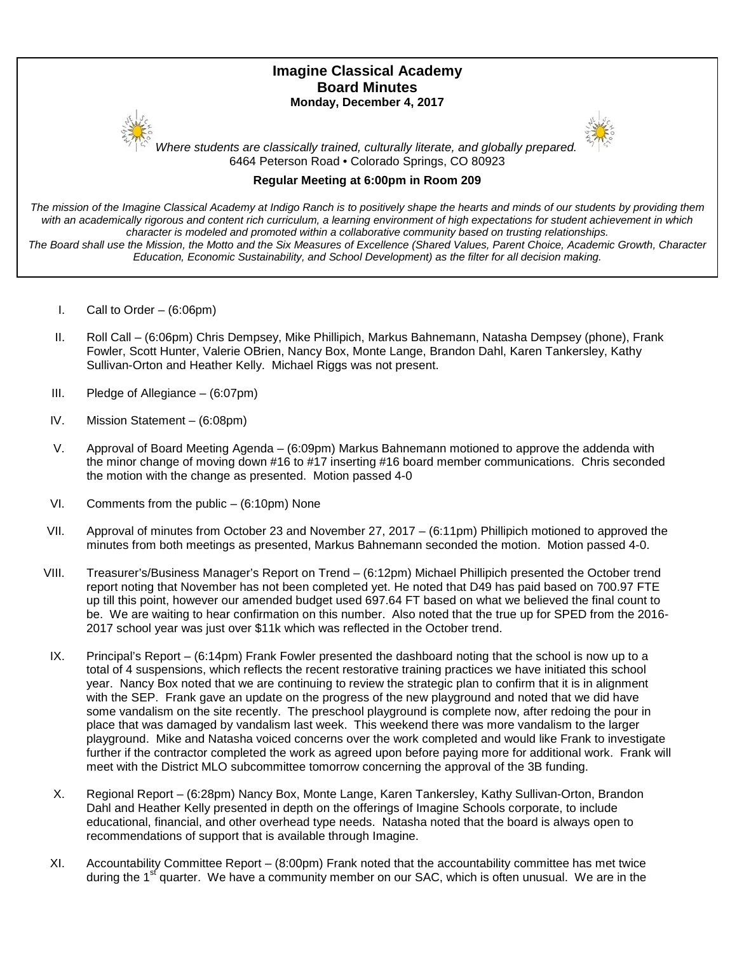# **Imagine Classical Academy Board Minutes Monday, December 4, 2017**





*Where students are classically trained, culturally literate, and globally prepared.* 6464 Peterson Road • Colorado Springs, CO 80923

## **Regular Meeting at 6:00pm in Room 209**

*The mission of the Imagine Classical Academy at Indigo Ranch is to positively shape the hearts and minds of our students by providing them*  with an academically rigorous and content rich curriculum, a learning environment of high expectations for student achievement in which *character is modeled and promoted within a collaborative community based on trusting relationships.*

*The Board shall use the Mission, the Motto and the Six Measures of Excellence (Shared Values, Parent Choice, Academic Growth, Character Education, Economic Sustainability, and School Development) as the filter for all decision making.*

- I. Call to Order (6:06pm)
- II. Roll Call (6:06pm) Chris Dempsey, Mike Phillipich, Markus Bahnemann, Natasha Dempsey (phone), Frank Fowler, Scott Hunter, Valerie OBrien, Nancy Box, Monte Lange, Brandon Dahl, Karen Tankersley, Kathy Sullivan-Orton and Heather Kelly. Michael Riggs was not present.
- III. Pledge of Allegiance (6:07pm)
- IV. Mission Statement (6:08pm)
- V. Approval of Board Meeting Agenda (6:09pm) Markus Bahnemann motioned to approve the addenda with the minor change of moving down #16 to #17 inserting #16 board member communications. Chris seconded the motion with the change as presented. Motion passed 4-0
- VI. Comments from the public (6:10pm) None
- VII. Approval of minutes from October 23 and November 27, 2017 (6:11pm) Phillipich motioned to approved the minutes from both meetings as presented, Markus Bahnemann seconded the motion. Motion passed 4-0.
- VIII. Treasurer's/Business Manager's Report on Trend (6:12pm) Michael Phillipich presented the October trend report noting that November has not been completed yet. He noted that D49 has paid based on 700.97 FTE up till this point, however our amended budget used 697.64 FT based on what we believed the final count to be. We are waiting to hear confirmation on this number. Also noted that the true up for SPED from the 2016- 2017 school year was just over \$11k which was reflected in the October trend.
- IX. Principal's Report (6:14pm) Frank Fowler presented the dashboard noting that the school is now up to a total of 4 suspensions, which reflects the recent restorative training practices we have initiated this school year. Nancy Box noted that we are continuing to review the strategic plan to confirm that it is in alignment with the SEP. Frank gave an update on the progress of the new playground and noted that we did have some vandalism on the site recently. The preschool playground is complete now, after redoing the pour in place that was damaged by vandalism last week. This weekend there was more vandalism to the larger playground. Mike and Natasha voiced concerns over the work completed and would like Frank to investigate further if the contractor completed the work as agreed upon before paying more for additional work. Frank will meet with the District MLO subcommittee tomorrow concerning the approval of the 3B funding.
- X. Regional Report (6:28pm) Nancy Box, Monte Lange, Karen Tankersley, Kathy Sullivan-Orton, Brandon Dahl and Heather Kelly presented in depth on the offerings of Imagine Schools corporate, to include educational, financial, and other overhead type needs. Natasha noted that the board is always open to recommendations of support that is available through Imagine.
- XI. Accountability Committee Report (8:00pm) Frank noted that the accountability committee has met twice during the 1<sup>st</sup> quarter. We have a community member on our SAC, which is often unusual. We are in the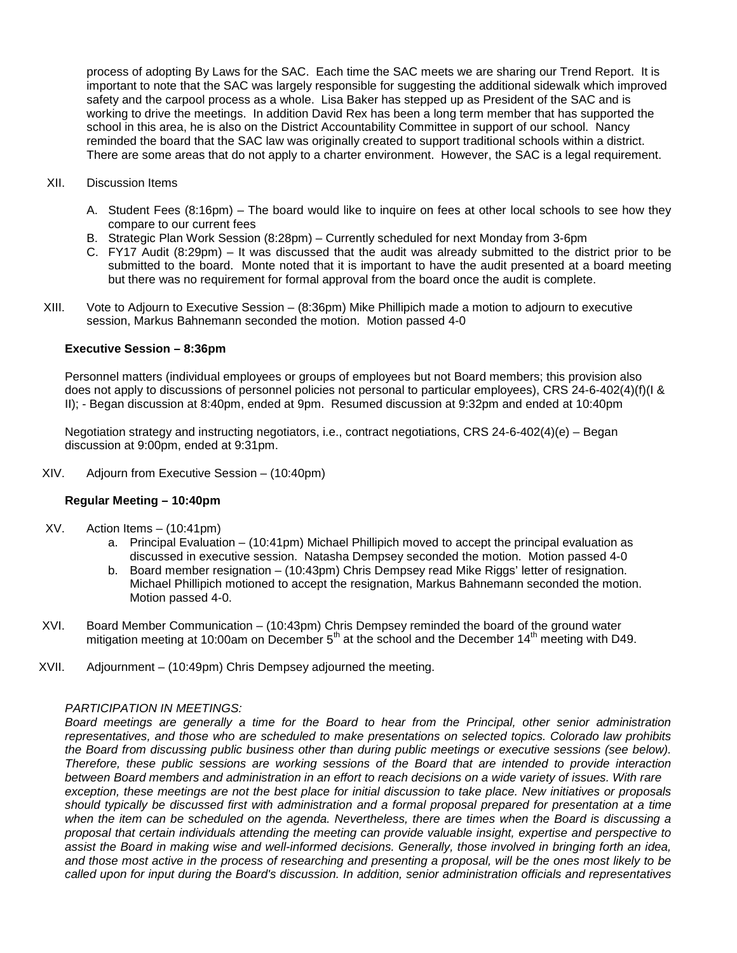process of adopting By Laws for the SAC. Each time the SAC meets we are sharing our Trend Report. It is important to note that the SAC was largely responsible for suggesting the additional sidewalk which improved safety and the carpool process as a whole. Lisa Baker has stepped up as President of the SAC and is working to drive the meetings. In addition David Rex has been a long term member that has supported the school in this area, he is also on the District Accountability Committee in support of our school. Nancy reminded the board that the SAC law was originally created to support traditional schools within a district. There are some areas that do not apply to a charter environment. However, the SAC is a legal requirement.

### XII. Discussion Items

- A. Student Fees (8:16pm) The board would like to inquire on fees at other local schools to see how they compare to our current fees
- B. Strategic Plan Work Session (8:28pm) Currently scheduled for next Monday from 3-6pm
- C. FY17 Audit (8:29pm) It was discussed that the audit was already submitted to the district prior to be submitted to the board. Monte noted that it is important to have the audit presented at a board meeting but there was no requirement for formal approval from the board once the audit is complete.
- XIII. Vote to Adjourn to Executive Session (8:36pm) Mike Phillipich made a motion to adjourn to executive session, Markus Bahnemann seconded the motion. Motion passed 4-0

## **Executive Session – 8:36pm**

Personnel matters (individual employees or groups of employees but not Board members; this provision also does not apply to discussions of personnel policies not personal to particular employees), CRS 24-6-402(4)(f)(I & II); - Began discussion at 8:40pm, ended at 9pm. Resumed discussion at 9:32pm and ended at 10:40pm

Negotiation strategy and instructing negotiators, i.e., contract negotiations, CRS 24-6-402(4)(e) – Began discussion at 9:00pm, ended at 9:31pm.

XIV. Adjourn from Executive Session – (10:40pm)

### **Regular Meeting – 10:40pm**

- XV. Action Items (10:41pm)
	- a. Principal Evaluation (10:41pm) Michael Phillipich moved to accept the principal evaluation as discussed in executive session. Natasha Dempsey seconded the motion. Motion passed 4-0
	- b. Board member resignation (10:43pm) Chris Dempsey read Mike Riggs' letter of resignation. Michael Phillipich motioned to accept the resignation, Markus Bahnemann seconded the motion. Motion passed 4-0.
- XVI. Board Member Communication (10:43pm) Chris Dempsey reminded the board of the ground water mitigation meeting at 10:00am on December  $5<sup>th</sup>$  at the school and the December 14<sup>th</sup> meeting with D49.
- XVII. Adjournment (10:49pm) Chris Dempsey adjourned the meeting.

### *PARTICIPATION IN MEETINGS:*

*Board meetings are generally a time for the Board to hear from the Principal, other senior administration representatives, and those who are scheduled to make presentations on selected topics. Colorado law prohibits the Board from discussing public business other than during public meetings or executive sessions (see below). Therefore, these public sessions are working sessions of the Board that are intended to provide interaction between Board members and administration in an effort to reach decisions on a wide variety of issues. With rare exception, these meetings are not the best place for initial discussion to take place. New initiatives or proposals should typically be discussed first with administration and a formal proposal prepared for presentation at a time when the item can be scheduled on the agenda. Nevertheless, there are times when the Board is discussing a proposal that certain individuals attending the meeting can provide valuable insight, expertise and perspective to assist the Board in making wise and well-informed decisions. Generally, those involved in bringing forth an idea, and those most active in the process of researching and presenting a proposal, will be the ones most likely to be called upon for input during the Board's discussion. In addition, senior administration officials and representatives*